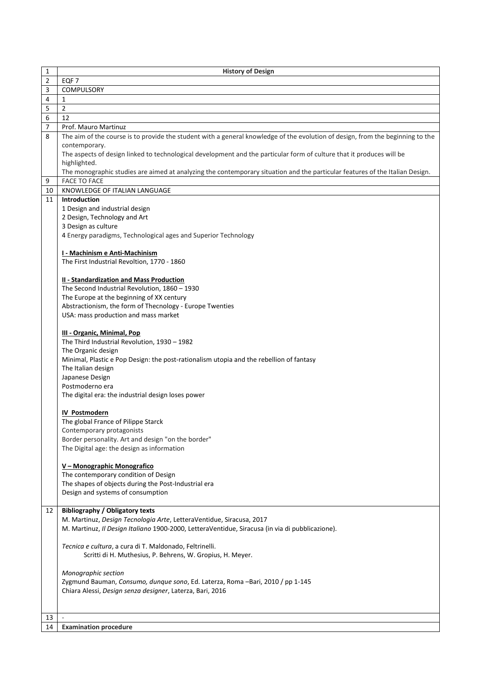| 2<br>EQF <sub>7</sub><br>3<br>COMPULSORY<br>4<br>1<br>$\overline{2}$<br>5<br>6<br>12<br>7<br>Prof. Mauro Martinuz<br>The aim of the course is to provide the student with a general knowledge of the evolution of design, from the beginning to the<br>8<br>contemporary.<br>The aspects of design linked to technological development and the particular form of culture that it produces will be<br>highlighted.<br>The monographic studies are aimed at analyzing the contemporary situation and the particular features of the Italian Design.<br><b>FACE TO FACE</b><br>9<br>KNOWLEDGE OF ITALIAN LANGUAGE<br>10<br>11<br><b>Introduction</b><br>1 Design and industrial design<br>2 Design, Technology and Art<br>3 Design as culture<br>4 Energy paradigms, Technological ages and Superior Technology<br>I - Machinism e Anti-Machinism<br>The First Industrial Revoltion, 1770 - 1860<br>II - Standardization and Mass Production<br>The Second Industrial Revolution, 1860 - 1930<br>The Europe at the beginning of XX century<br>Abstractionism, the form of Thecnology - Europe Twenties<br>USA: mass production and mass market<br>III - Organic, Minimal, Pop<br>The Third Industrial Revolution, 1930 - 1982<br>The Organic design<br>Minimal, Plastic e Pop Design: the post-rationalism utopia and the rebellion of fantasy<br>The Italian design<br>Japanese Design<br>Postmoderno era<br>The digital era: the industrial design loses power<br><b>IV Postmodern</b><br>The global France of Pilippe Starck<br>Contemporary protagonists<br>Border personality. Art and design "on the border"<br>The Digital age: the design as information<br>V - Monographic Monografico<br>The contemporary condition of Design<br>The shapes of objects during the Post-Industrial era<br>Design and systems of consumption<br><b>Bibliography / Obligatory texts</b><br>12<br>M. Martinuz, Design Tecnologia Arte, LetteraVentidue, Siracusa, 2017<br>M. Martinuz, Il Design Italiano 1900-2000, LetteraVentidue, Siracusa (in via di pubblicazione).<br>Tecnica e cultura, a cura di T. Maldonado, Feltrinelli.<br>Scritti di H. Muthesius, P. Behrens, W. Gropius, H. Meyer.<br>Monographic section<br>Zygmund Bauman, Consumo, dunque sono, Ed. Laterza, Roma -Bari, 2010 / pp 1-145<br>Chiara Alessi, Design senza designer, Laterza, Bari, 2016<br>13<br>14 | 1 | <b>History of Design</b>     |
|--------------------------------------------------------------------------------------------------------------------------------------------------------------------------------------------------------------------------------------------------------------------------------------------------------------------------------------------------------------------------------------------------------------------------------------------------------------------------------------------------------------------------------------------------------------------------------------------------------------------------------------------------------------------------------------------------------------------------------------------------------------------------------------------------------------------------------------------------------------------------------------------------------------------------------------------------------------------------------------------------------------------------------------------------------------------------------------------------------------------------------------------------------------------------------------------------------------------------------------------------------------------------------------------------------------------------------------------------------------------------------------------------------------------------------------------------------------------------------------------------------------------------------------------------------------------------------------------------------------------------------------------------------------------------------------------------------------------------------------------------------------------------------------------------------------------------------------------------------------------------------------------------------------------------------------------------------------------------------------------------------------------------------------------------------------------------------------------------------------------------------------------------------------------------------------------------------------------------------------------------------------------------------------------------------------------------------------------------------------------------|---|------------------------------|
|                                                                                                                                                                                                                                                                                                                                                                                                                                                                                                                                                                                                                                                                                                                                                                                                                                                                                                                                                                                                                                                                                                                                                                                                                                                                                                                                                                                                                                                                                                                                                                                                                                                                                                                                                                                                                                                                                                                                                                                                                                                                                                                                                                                                                                                                                                                                                                          |   |                              |
|                                                                                                                                                                                                                                                                                                                                                                                                                                                                                                                                                                                                                                                                                                                                                                                                                                                                                                                                                                                                                                                                                                                                                                                                                                                                                                                                                                                                                                                                                                                                                                                                                                                                                                                                                                                                                                                                                                                                                                                                                                                                                                                                                                                                                                                                                                                                                                          |   |                              |
|                                                                                                                                                                                                                                                                                                                                                                                                                                                                                                                                                                                                                                                                                                                                                                                                                                                                                                                                                                                                                                                                                                                                                                                                                                                                                                                                                                                                                                                                                                                                                                                                                                                                                                                                                                                                                                                                                                                                                                                                                                                                                                                                                                                                                                                                                                                                                                          |   |                              |
|                                                                                                                                                                                                                                                                                                                                                                                                                                                                                                                                                                                                                                                                                                                                                                                                                                                                                                                                                                                                                                                                                                                                                                                                                                                                                                                                                                                                                                                                                                                                                                                                                                                                                                                                                                                                                                                                                                                                                                                                                                                                                                                                                                                                                                                                                                                                                                          |   |                              |
|                                                                                                                                                                                                                                                                                                                                                                                                                                                                                                                                                                                                                                                                                                                                                                                                                                                                                                                                                                                                                                                                                                                                                                                                                                                                                                                                                                                                                                                                                                                                                                                                                                                                                                                                                                                                                                                                                                                                                                                                                                                                                                                                                                                                                                                                                                                                                                          |   |                              |
|                                                                                                                                                                                                                                                                                                                                                                                                                                                                                                                                                                                                                                                                                                                                                                                                                                                                                                                                                                                                                                                                                                                                                                                                                                                                                                                                                                                                                                                                                                                                                                                                                                                                                                                                                                                                                                                                                                                                                                                                                                                                                                                                                                                                                                                                                                                                                                          |   |                              |
|                                                                                                                                                                                                                                                                                                                                                                                                                                                                                                                                                                                                                                                                                                                                                                                                                                                                                                                                                                                                                                                                                                                                                                                                                                                                                                                                                                                                                                                                                                                                                                                                                                                                                                                                                                                                                                                                                                                                                                                                                                                                                                                                                                                                                                                                                                                                                                          |   |                              |
|                                                                                                                                                                                                                                                                                                                                                                                                                                                                                                                                                                                                                                                                                                                                                                                                                                                                                                                                                                                                                                                                                                                                                                                                                                                                                                                                                                                                                                                                                                                                                                                                                                                                                                                                                                                                                                                                                                                                                                                                                                                                                                                                                                                                                                                                                                                                                                          |   |                              |
|                                                                                                                                                                                                                                                                                                                                                                                                                                                                                                                                                                                                                                                                                                                                                                                                                                                                                                                                                                                                                                                                                                                                                                                                                                                                                                                                                                                                                                                                                                                                                                                                                                                                                                                                                                                                                                                                                                                                                                                                                                                                                                                                                                                                                                                                                                                                                                          |   |                              |
|                                                                                                                                                                                                                                                                                                                                                                                                                                                                                                                                                                                                                                                                                                                                                                                                                                                                                                                                                                                                                                                                                                                                                                                                                                                                                                                                                                                                                                                                                                                                                                                                                                                                                                                                                                                                                                                                                                                                                                                                                                                                                                                                                                                                                                                                                                                                                                          |   |                              |
|                                                                                                                                                                                                                                                                                                                                                                                                                                                                                                                                                                                                                                                                                                                                                                                                                                                                                                                                                                                                                                                                                                                                                                                                                                                                                                                                                                                                                                                                                                                                                                                                                                                                                                                                                                                                                                                                                                                                                                                                                                                                                                                                                                                                                                                                                                                                                                          |   |                              |
|                                                                                                                                                                                                                                                                                                                                                                                                                                                                                                                                                                                                                                                                                                                                                                                                                                                                                                                                                                                                                                                                                                                                                                                                                                                                                                                                                                                                                                                                                                                                                                                                                                                                                                                                                                                                                                                                                                                                                                                                                                                                                                                                                                                                                                                                                                                                                                          |   |                              |
|                                                                                                                                                                                                                                                                                                                                                                                                                                                                                                                                                                                                                                                                                                                                                                                                                                                                                                                                                                                                                                                                                                                                                                                                                                                                                                                                                                                                                                                                                                                                                                                                                                                                                                                                                                                                                                                                                                                                                                                                                                                                                                                                                                                                                                                                                                                                                                          |   |                              |
|                                                                                                                                                                                                                                                                                                                                                                                                                                                                                                                                                                                                                                                                                                                                                                                                                                                                                                                                                                                                                                                                                                                                                                                                                                                                                                                                                                                                                                                                                                                                                                                                                                                                                                                                                                                                                                                                                                                                                                                                                                                                                                                                                                                                                                                                                                                                                                          |   |                              |
|                                                                                                                                                                                                                                                                                                                                                                                                                                                                                                                                                                                                                                                                                                                                                                                                                                                                                                                                                                                                                                                                                                                                                                                                                                                                                                                                                                                                                                                                                                                                                                                                                                                                                                                                                                                                                                                                                                                                                                                                                                                                                                                                                                                                                                                                                                                                                                          |   |                              |
|                                                                                                                                                                                                                                                                                                                                                                                                                                                                                                                                                                                                                                                                                                                                                                                                                                                                                                                                                                                                                                                                                                                                                                                                                                                                                                                                                                                                                                                                                                                                                                                                                                                                                                                                                                                                                                                                                                                                                                                                                                                                                                                                                                                                                                                                                                                                                                          |   |                              |
|                                                                                                                                                                                                                                                                                                                                                                                                                                                                                                                                                                                                                                                                                                                                                                                                                                                                                                                                                                                                                                                                                                                                                                                                                                                                                                                                                                                                                                                                                                                                                                                                                                                                                                                                                                                                                                                                                                                                                                                                                                                                                                                                                                                                                                                                                                                                                                          |   |                              |
|                                                                                                                                                                                                                                                                                                                                                                                                                                                                                                                                                                                                                                                                                                                                                                                                                                                                                                                                                                                                                                                                                                                                                                                                                                                                                                                                                                                                                                                                                                                                                                                                                                                                                                                                                                                                                                                                                                                                                                                                                                                                                                                                                                                                                                                                                                                                                                          |   |                              |
|                                                                                                                                                                                                                                                                                                                                                                                                                                                                                                                                                                                                                                                                                                                                                                                                                                                                                                                                                                                                                                                                                                                                                                                                                                                                                                                                                                                                                                                                                                                                                                                                                                                                                                                                                                                                                                                                                                                                                                                                                                                                                                                                                                                                                                                                                                                                                                          |   |                              |
|                                                                                                                                                                                                                                                                                                                                                                                                                                                                                                                                                                                                                                                                                                                                                                                                                                                                                                                                                                                                                                                                                                                                                                                                                                                                                                                                                                                                                                                                                                                                                                                                                                                                                                                                                                                                                                                                                                                                                                                                                                                                                                                                                                                                                                                                                                                                                                          |   |                              |
|                                                                                                                                                                                                                                                                                                                                                                                                                                                                                                                                                                                                                                                                                                                                                                                                                                                                                                                                                                                                                                                                                                                                                                                                                                                                                                                                                                                                                                                                                                                                                                                                                                                                                                                                                                                                                                                                                                                                                                                                                                                                                                                                                                                                                                                                                                                                                                          |   |                              |
|                                                                                                                                                                                                                                                                                                                                                                                                                                                                                                                                                                                                                                                                                                                                                                                                                                                                                                                                                                                                                                                                                                                                                                                                                                                                                                                                                                                                                                                                                                                                                                                                                                                                                                                                                                                                                                                                                                                                                                                                                                                                                                                                                                                                                                                                                                                                                                          |   |                              |
|                                                                                                                                                                                                                                                                                                                                                                                                                                                                                                                                                                                                                                                                                                                                                                                                                                                                                                                                                                                                                                                                                                                                                                                                                                                                                                                                                                                                                                                                                                                                                                                                                                                                                                                                                                                                                                                                                                                                                                                                                                                                                                                                                                                                                                                                                                                                                                          |   |                              |
|                                                                                                                                                                                                                                                                                                                                                                                                                                                                                                                                                                                                                                                                                                                                                                                                                                                                                                                                                                                                                                                                                                                                                                                                                                                                                                                                                                                                                                                                                                                                                                                                                                                                                                                                                                                                                                                                                                                                                                                                                                                                                                                                                                                                                                                                                                                                                                          |   |                              |
|                                                                                                                                                                                                                                                                                                                                                                                                                                                                                                                                                                                                                                                                                                                                                                                                                                                                                                                                                                                                                                                                                                                                                                                                                                                                                                                                                                                                                                                                                                                                                                                                                                                                                                                                                                                                                                                                                                                                                                                                                                                                                                                                                                                                                                                                                                                                                                          |   |                              |
|                                                                                                                                                                                                                                                                                                                                                                                                                                                                                                                                                                                                                                                                                                                                                                                                                                                                                                                                                                                                                                                                                                                                                                                                                                                                                                                                                                                                                                                                                                                                                                                                                                                                                                                                                                                                                                                                                                                                                                                                                                                                                                                                                                                                                                                                                                                                                                          |   |                              |
|                                                                                                                                                                                                                                                                                                                                                                                                                                                                                                                                                                                                                                                                                                                                                                                                                                                                                                                                                                                                                                                                                                                                                                                                                                                                                                                                                                                                                                                                                                                                                                                                                                                                                                                                                                                                                                                                                                                                                                                                                                                                                                                                                                                                                                                                                                                                                                          |   |                              |
|                                                                                                                                                                                                                                                                                                                                                                                                                                                                                                                                                                                                                                                                                                                                                                                                                                                                                                                                                                                                                                                                                                                                                                                                                                                                                                                                                                                                                                                                                                                                                                                                                                                                                                                                                                                                                                                                                                                                                                                                                                                                                                                                                                                                                                                                                                                                                                          |   |                              |
|                                                                                                                                                                                                                                                                                                                                                                                                                                                                                                                                                                                                                                                                                                                                                                                                                                                                                                                                                                                                                                                                                                                                                                                                                                                                                                                                                                                                                                                                                                                                                                                                                                                                                                                                                                                                                                                                                                                                                                                                                                                                                                                                                                                                                                                                                                                                                                          |   |                              |
|                                                                                                                                                                                                                                                                                                                                                                                                                                                                                                                                                                                                                                                                                                                                                                                                                                                                                                                                                                                                                                                                                                                                                                                                                                                                                                                                                                                                                                                                                                                                                                                                                                                                                                                                                                                                                                                                                                                                                                                                                                                                                                                                                                                                                                                                                                                                                                          |   |                              |
|                                                                                                                                                                                                                                                                                                                                                                                                                                                                                                                                                                                                                                                                                                                                                                                                                                                                                                                                                                                                                                                                                                                                                                                                                                                                                                                                                                                                                                                                                                                                                                                                                                                                                                                                                                                                                                                                                                                                                                                                                                                                                                                                                                                                                                                                                                                                                                          |   |                              |
|                                                                                                                                                                                                                                                                                                                                                                                                                                                                                                                                                                                                                                                                                                                                                                                                                                                                                                                                                                                                                                                                                                                                                                                                                                                                                                                                                                                                                                                                                                                                                                                                                                                                                                                                                                                                                                                                                                                                                                                                                                                                                                                                                                                                                                                                                                                                                                          |   |                              |
|                                                                                                                                                                                                                                                                                                                                                                                                                                                                                                                                                                                                                                                                                                                                                                                                                                                                                                                                                                                                                                                                                                                                                                                                                                                                                                                                                                                                                                                                                                                                                                                                                                                                                                                                                                                                                                                                                                                                                                                                                                                                                                                                                                                                                                                                                                                                                                          |   |                              |
|                                                                                                                                                                                                                                                                                                                                                                                                                                                                                                                                                                                                                                                                                                                                                                                                                                                                                                                                                                                                                                                                                                                                                                                                                                                                                                                                                                                                                                                                                                                                                                                                                                                                                                                                                                                                                                                                                                                                                                                                                                                                                                                                                                                                                                                                                                                                                                          |   |                              |
|                                                                                                                                                                                                                                                                                                                                                                                                                                                                                                                                                                                                                                                                                                                                                                                                                                                                                                                                                                                                                                                                                                                                                                                                                                                                                                                                                                                                                                                                                                                                                                                                                                                                                                                                                                                                                                                                                                                                                                                                                                                                                                                                                                                                                                                                                                                                                                          |   |                              |
|                                                                                                                                                                                                                                                                                                                                                                                                                                                                                                                                                                                                                                                                                                                                                                                                                                                                                                                                                                                                                                                                                                                                                                                                                                                                                                                                                                                                                                                                                                                                                                                                                                                                                                                                                                                                                                                                                                                                                                                                                                                                                                                                                                                                                                                                                                                                                                          |   |                              |
|                                                                                                                                                                                                                                                                                                                                                                                                                                                                                                                                                                                                                                                                                                                                                                                                                                                                                                                                                                                                                                                                                                                                                                                                                                                                                                                                                                                                                                                                                                                                                                                                                                                                                                                                                                                                                                                                                                                                                                                                                                                                                                                                                                                                                                                                                                                                                                          |   |                              |
|                                                                                                                                                                                                                                                                                                                                                                                                                                                                                                                                                                                                                                                                                                                                                                                                                                                                                                                                                                                                                                                                                                                                                                                                                                                                                                                                                                                                                                                                                                                                                                                                                                                                                                                                                                                                                                                                                                                                                                                                                                                                                                                                                                                                                                                                                                                                                                          |   |                              |
|                                                                                                                                                                                                                                                                                                                                                                                                                                                                                                                                                                                                                                                                                                                                                                                                                                                                                                                                                                                                                                                                                                                                                                                                                                                                                                                                                                                                                                                                                                                                                                                                                                                                                                                                                                                                                                                                                                                                                                                                                                                                                                                                                                                                                                                                                                                                                                          |   |                              |
|                                                                                                                                                                                                                                                                                                                                                                                                                                                                                                                                                                                                                                                                                                                                                                                                                                                                                                                                                                                                                                                                                                                                                                                                                                                                                                                                                                                                                                                                                                                                                                                                                                                                                                                                                                                                                                                                                                                                                                                                                                                                                                                                                                                                                                                                                                                                                                          |   |                              |
|                                                                                                                                                                                                                                                                                                                                                                                                                                                                                                                                                                                                                                                                                                                                                                                                                                                                                                                                                                                                                                                                                                                                                                                                                                                                                                                                                                                                                                                                                                                                                                                                                                                                                                                                                                                                                                                                                                                                                                                                                                                                                                                                                                                                                                                                                                                                                                          |   |                              |
|                                                                                                                                                                                                                                                                                                                                                                                                                                                                                                                                                                                                                                                                                                                                                                                                                                                                                                                                                                                                                                                                                                                                                                                                                                                                                                                                                                                                                                                                                                                                                                                                                                                                                                                                                                                                                                                                                                                                                                                                                                                                                                                                                                                                                                                                                                                                                                          |   |                              |
|                                                                                                                                                                                                                                                                                                                                                                                                                                                                                                                                                                                                                                                                                                                                                                                                                                                                                                                                                                                                                                                                                                                                                                                                                                                                                                                                                                                                                                                                                                                                                                                                                                                                                                                                                                                                                                                                                                                                                                                                                                                                                                                                                                                                                                                                                                                                                                          |   |                              |
|                                                                                                                                                                                                                                                                                                                                                                                                                                                                                                                                                                                                                                                                                                                                                                                                                                                                                                                                                                                                                                                                                                                                                                                                                                                                                                                                                                                                                                                                                                                                                                                                                                                                                                                                                                                                                                                                                                                                                                                                                                                                                                                                                                                                                                                                                                                                                                          |   |                              |
|                                                                                                                                                                                                                                                                                                                                                                                                                                                                                                                                                                                                                                                                                                                                                                                                                                                                                                                                                                                                                                                                                                                                                                                                                                                                                                                                                                                                                                                                                                                                                                                                                                                                                                                                                                                                                                                                                                                                                                                                                                                                                                                                                                                                                                                                                                                                                                          |   |                              |
|                                                                                                                                                                                                                                                                                                                                                                                                                                                                                                                                                                                                                                                                                                                                                                                                                                                                                                                                                                                                                                                                                                                                                                                                                                                                                                                                                                                                                                                                                                                                                                                                                                                                                                                                                                                                                                                                                                                                                                                                                                                                                                                                                                                                                                                                                                                                                                          |   |                              |
|                                                                                                                                                                                                                                                                                                                                                                                                                                                                                                                                                                                                                                                                                                                                                                                                                                                                                                                                                                                                                                                                                                                                                                                                                                                                                                                                                                                                                                                                                                                                                                                                                                                                                                                                                                                                                                                                                                                                                                                                                                                                                                                                                                                                                                                                                                                                                                          |   |                              |
|                                                                                                                                                                                                                                                                                                                                                                                                                                                                                                                                                                                                                                                                                                                                                                                                                                                                                                                                                                                                                                                                                                                                                                                                                                                                                                                                                                                                                                                                                                                                                                                                                                                                                                                                                                                                                                                                                                                                                                                                                                                                                                                                                                                                                                                                                                                                                                          |   |                              |
|                                                                                                                                                                                                                                                                                                                                                                                                                                                                                                                                                                                                                                                                                                                                                                                                                                                                                                                                                                                                                                                                                                                                                                                                                                                                                                                                                                                                                                                                                                                                                                                                                                                                                                                                                                                                                                                                                                                                                                                                                                                                                                                                                                                                                                                                                                                                                                          |   |                              |
|                                                                                                                                                                                                                                                                                                                                                                                                                                                                                                                                                                                                                                                                                                                                                                                                                                                                                                                                                                                                                                                                                                                                                                                                                                                                                                                                                                                                                                                                                                                                                                                                                                                                                                                                                                                                                                                                                                                                                                                                                                                                                                                                                                                                                                                                                                                                                                          |   |                              |
|                                                                                                                                                                                                                                                                                                                                                                                                                                                                                                                                                                                                                                                                                                                                                                                                                                                                                                                                                                                                                                                                                                                                                                                                                                                                                                                                                                                                                                                                                                                                                                                                                                                                                                                                                                                                                                                                                                                                                                                                                                                                                                                                                                                                                                                                                                                                                                          |   |                              |
|                                                                                                                                                                                                                                                                                                                                                                                                                                                                                                                                                                                                                                                                                                                                                                                                                                                                                                                                                                                                                                                                                                                                                                                                                                                                                                                                                                                                                                                                                                                                                                                                                                                                                                                                                                                                                                                                                                                                                                                                                                                                                                                                                                                                                                                                                                                                                                          |   |                              |
|                                                                                                                                                                                                                                                                                                                                                                                                                                                                                                                                                                                                                                                                                                                                                                                                                                                                                                                                                                                                                                                                                                                                                                                                                                                                                                                                                                                                                                                                                                                                                                                                                                                                                                                                                                                                                                                                                                                                                                                                                                                                                                                                                                                                                                                                                                                                                                          |   |                              |
|                                                                                                                                                                                                                                                                                                                                                                                                                                                                                                                                                                                                                                                                                                                                                                                                                                                                                                                                                                                                                                                                                                                                                                                                                                                                                                                                                                                                                                                                                                                                                                                                                                                                                                                                                                                                                                                                                                                                                                                                                                                                                                                                                                                                                                                                                                                                                                          |   |                              |
|                                                                                                                                                                                                                                                                                                                                                                                                                                                                                                                                                                                                                                                                                                                                                                                                                                                                                                                                                                                                                                                                                                                                                                                                                                                                                                                                                                                                                                                                                                                                                                                                                                                                                                                                                                                                                                                                                                                                                                                                                                                                                                                                                                                                                                                                                                                                                                          |   |                              |
|                                                                                                                                                                                                                                                                                                                                                                                                                                                                                                                                                                                                                                                                                                                                                                                                                                                                                                                                                                                                                                                                                                                                                                                                                                                                                                                                                                                                                                                                                                                                                                                                                                                                                                                                                                                                                                                                                                                                                                                                                                                                                                                                                                                                                                                                                                                                                                          |   |                              |
|                                                                                                                                                                                                                                                                                                                                                                                                                                                                                                                                                                                                                                                                                                                                                                                                                                                                                                                                                                                                                                                                                                                                                                                                                                                                                                                                                                                                                                                                                                                                                                                                                                                                                                                                                                                                                                                                                                                                                                                                                                                                                                                                                                                                                                                                                                                                                                          |   |                              |
|                                                                                                                                                                                                                                                                                                                                                                                                                                                                                                                                                                                                                                                                                                                                                                                                                                                                                                                                                                                                                                                                                                                                                                                                                                                                                                                                                                                                                                                                                                                                                                                                                                                                                                                                                                                                                                                                                                                                                                                                                                                                                                                                                                                                                                                                                                                                                                          |   |                              |
|                                                                                                                                                                                                                                                                                                                                                                                                                                                                                                                                                                                                                                                                                                                                                                                                                                                                                                                                                                                                                                                                                                                                                                                                                                                                                                                                                                                                                                                                                                                                                                                                                                                                                                                                                                                                                                                                                                                                                                                                                                                                                                                                                                                                                                                                                                                                                                          |   |                              |
|                                                                                                                                                                                                                                                                                                                                                                                                                                                                                                                                                                                                                                                                                                                                                                                                                                                                                                                                                                                                                                                                                                                                                                                                                                                                                                                                                                                                                                                                                                                                                                                                                                                                                                                                                                                                                                                                                                                                                                                                                                                                                                                                                                                                                                                                                                                                                                          |   | <b>Examination procedure</b> |